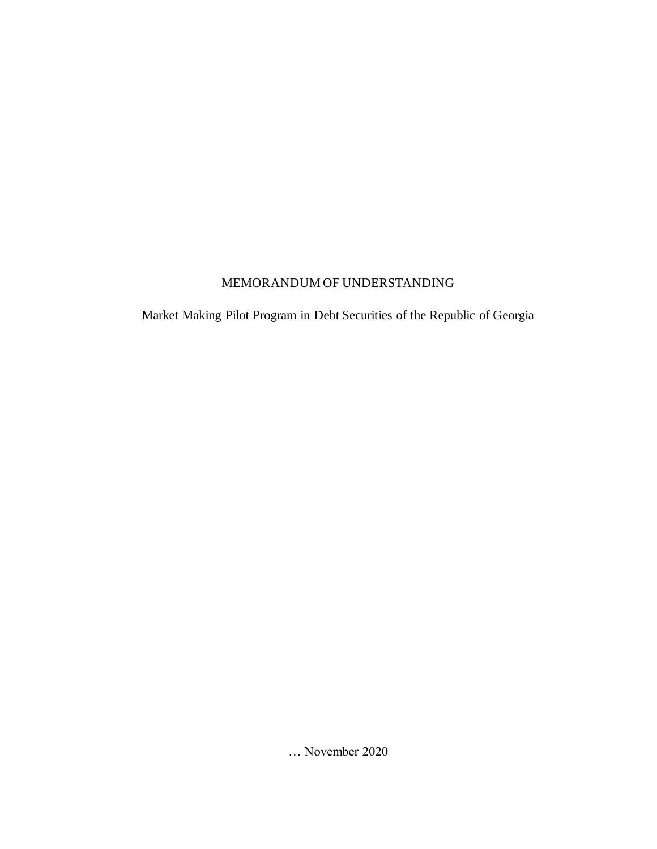#### MEMORANDUM OF UNDERSTANDING

Market Making Pilot Program in Debt Securities of the Republic of Georgia

… November 2020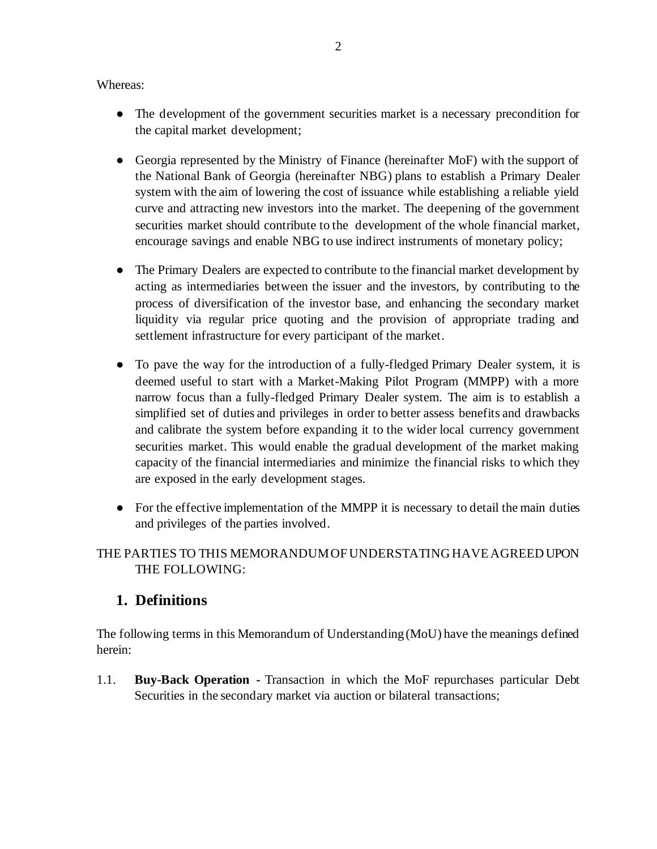Whereas:

- The development of the government securities market is a necessary precondition for the capital market development;
- Georgia represented by the Ministry of Finance (hereinafter MoF) with the support of the National Bank of Georgia (hereinafter NBG) plans to establish a Primary Dealer system with the aim of lowering the cost of issuance while establishing a reliable yield curve and attracting new investors into the market. The deepening of the government securities market should contribute to the development of the whole financial market, encourage savings and enable NBG to use indirect instruments of monetary policy;
- The Primary Dealers are expected to contribute to the financial market development by acting as intermediaries between the issuer and the investors, by contributing to the process of diversification of the investor base, and enhancing the secondary market liquidity via regular price quoting and the provision of appropriate trading and settlement infrastructure for every participant of the market.
- To pave the way for the introduction of a fully-fledged Primary Dealer system, it is deemed useful to start with a Market-Making Pilot Program (MMPP) with a more narrow focus than a fully-fledged Primary Dealer system. The aim is to establish a simplified set of duties and privileges in order to better assess benefits and drawbacks and calibrate the system before expanding it to the wider local currency government securities market. This would enable the gradual development of the market making capacity of the financial intermediaries and minimize the financial risks to which they are exposed in the early development stages.
- For the effective implementation of the MMPP it is necessary to detail the main duties and privileges of the parties involved.

#### THE PARTIES TO THIS MEMORANDUM OF UNDERSTATING HAVE AGREED UPON THE FOLLOWING:

## **1. Definitions**

The following terms in this Memorandum of Understanding (MoU) have the meanings defined herein:

1.1. **Buy-Back Operation -** Transaction in which the MoF repurchases particular Debt Securities in the secondary market via auction or bilateral transactions;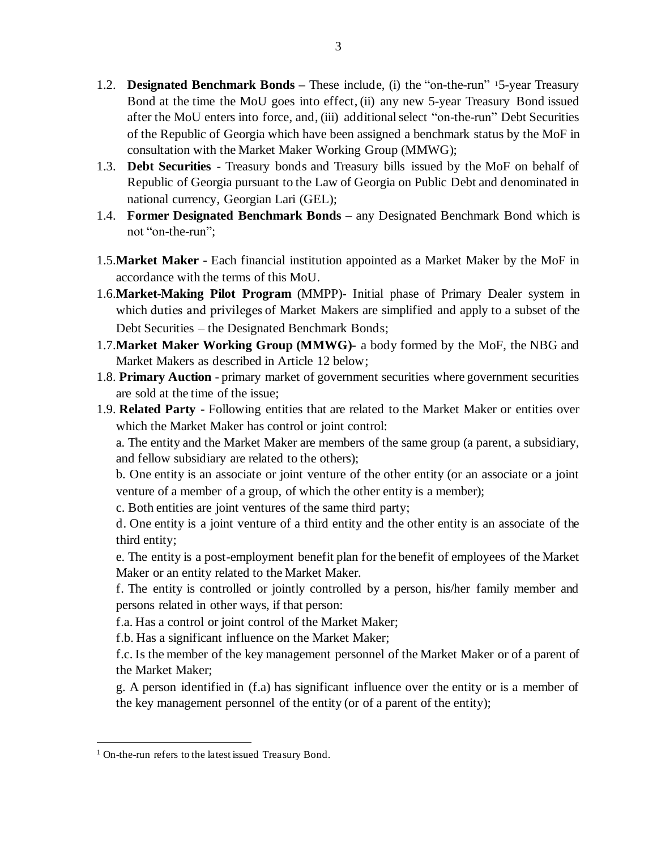- 1.2. **Designated Benchmark Bonds –** These include, (i) the "on-the-run" <sup>1</sup>5-year Treasury Bond at the time the MoU goes into effect, (ii) any new 5-year Treasury Bond issued after the MoU enters into force, and, (iii) additional select "on-the-run" Debt Securities of the Republic of Georgia which have been assigned a benchmark status by the MoF in consultation with the Market Maker Working Group (MMWG);
- 1.3. **Debt Securities** Treasury bonds and Treasury bills issued by the MoF on behalf of Republic of Georgia pursuant to the Law of Georgia on Public Debt and denominated in national currency, Georgian Lari (GEL);
- 1.4. **Former Designated Benchmark Bonds** any Designated Benchmark Bond which is not "on-the-run";
- 1.5.**Market Maker -** Each financial institution appointed as a Market Maker by the MoF in accordance with the terms of this MoU.
- 1.6.**Market-Making Pilot Program** (MMPP)- Initial phase of Primary Dealer system in which duties and privileges of Market Makers are simplified and apply to a subset of the Debt Securities – the Designated Benchmark Bonds;
- 1.7.**Market Maker Working Group (MMWG)-** a body formed by the MoF, the NBG and Market Makers as described in Article 12 below;
- 1.8. **Primary Auction** primary market of government securities where government securities are sold at the time of the issue;
- 1.9. **Related Party -** Following entities that are related to the Market Maker or entities over which the Market Maker has control or joint control:

a. The entity and the Market Maker are members of the same group (a parent, a subsidiary, and fellow subsidiary are related to the others);

b. One entity is an associate or joint venture of the other entity (or an associate or a joint venture of a member of a group, of which the other entity is a member);

c. Both entities are joint ventures of the same third party;

d. One entity is a joint venture of a third entity and the other entity is an associate of the third entity;

e. The entity is a post-employment benefit plan for the benefit of employees of the Market Maker or an entity related to the Market Maker.

f. The entity is controlled or jointly controlled by a person, his/her family member and persons related in other ways, if that person:

f.a. Has a control or joint control of the Market Maker;

f.b. Has a significant influence on the Market Maker;

f.c. Is the member of the key management personnel of the Market Maker or of a parent of the Market Maker;

g. A person identified in (f.a) has significant influence over the entity or is a member of the key management personnel of the entity (or of a parent of the entity);

<sup>1</sup> On-the-run refers to the latest issued Treasury Bond.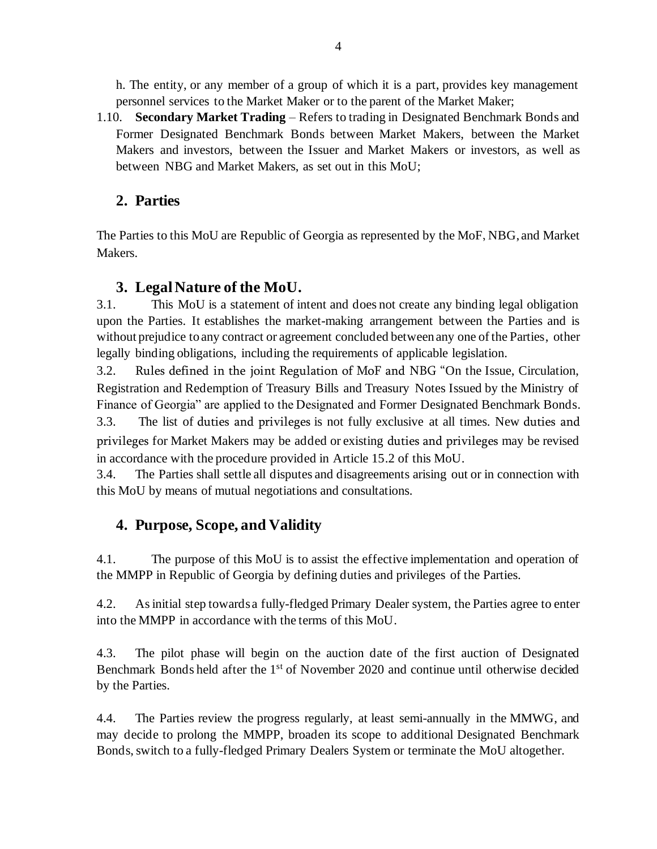h. The entity, or any member of a group of which it is a part, provides key management personnel services to the Market Maker or to the parent of the Market Maker;

1.10. **Secondary Market Trading** – Refers to trading in Designated Benchmark Bonds and Former Designated Benchmark Bonds between Market Makers, between the Market Makers and investors, between the Issuer and Market Makers or investors, as well as between NBG and Market Makers, as set out in this MoU;

## **2. Parties**

The Parties to this MoU are Republic of Georgia as represented by the MoF, NBG, and Market Makers.

#### **3. Legal Nature of the MoU.**

3.1. This MoU is a statement of intent and does not create any binding legal obligation upon the Parties. It establishes the market-making arrangement between the Parties and is without prejudice to any contract or agreement concluded between any one of the Parties, other legally binding obligations, including the requirements of applicable legislation.

3.2. Rules defined in the joint Regulation of MoF and NBG "On the Issue, Circulation, Registration and Redemption of Treasury Bills and Treasury Notes Issued by the Ministry of Finance of Georgia" are applied to the Designated and Former Designated Benchmark Bonds. 3.3. The list of duties and privileges is not fully exclusive at all times. New duties and

privileges for Market Makers may be added or existing duties and privileges may be revised in accordance with the procedure provided in Article 15.2 of this MoU.

3.4. The Parties shall settle all disputes and disagreements arising out or in connection with this MoU by means of mutual negotiations and consultations.

## **4. Purpose, Scope, and Validity**

4.1. The purpose of this MoU is to assist the effective implementation and operation of the MMPP in Republic of Georgia by defining duties and privileges of the Parties.

4.2. As initial step towards a fully-fledged Primary Dealer system, the Parties agree to enter into the MMPP in accordance with the terms of this MoU.

4.3. The pilot phase will begin on the auction date of the first auction of Designated Benchmark Bonds held after the 1<sup>st</sup> of November 2020 and continue until otherwise decided by the Parties.

4.4. The Parties review the progress regularly, at least semi-annually in the MMWG, and may decide to prolong the MMPP, broaden its scope to additional Designated Benchmark Bonds, switch to a fully-fledged Primary Dealers System or terminate the MoU altogether.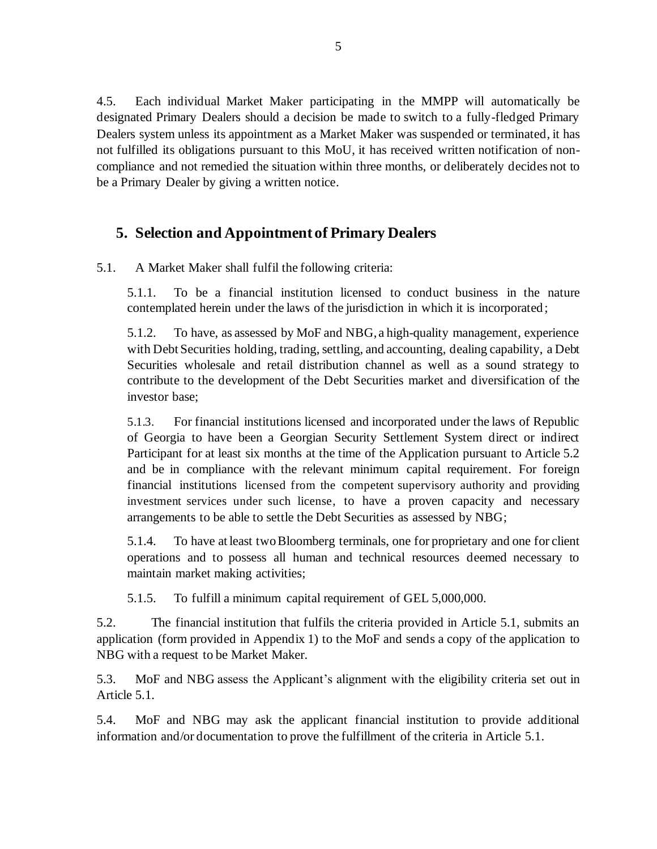4.5. Each individual Market Maker participating in the MMPP will automatically be designated Primary Dealers should a decision be made to switch to a fully-fledged Primary Dealers system unless its appointment as a Market Maker was suspended or terminated, it has not fulfilled its obligations pursuant to this MoU, it has received written notification of noncompliance and not remedied the situation within three months, or deliberately decides not to be a Primary Dealer by giving a written notice.

#### **5. Selection and Appointment of Primary Dealers**

5.1. A Market Maker shall fulfil the following criteria:

5.1.1. To be a financial institution licensed to conduct business in the nature contemplated herein under the laws of the jurisdiction in which it is incorporated;

5.1.2. To have, as assessed by MoF and NBG, a high-quality management, experience with Debt Securities holding, trading, settling, and accounting, dealing capability, a Debt Securities wholesale and retail distribution channel as well as a sound strategy to contribute to the development of the Debt Securities market and diversification of the investor base;

5.1.3. For financial institutions licensed and incorporated under the laws of Republic of Georgia to have been a Georgian Security Settlement System direct or indirect Participant for at least six months at the time of the Application pursuant to Article 5.2 and be in compliance with the relevant minimum capital requirement. For foreign financial institutions licensed from the competent supervisory authority and providing investment services under such license, to have a proven capacity and necessary arrangements to be able to settle the Debt Securities as assessed by NBG;

5.1.4. To have at least two Bloomberg terminals, one for proprietary and one for client operations and to possess all human and technical resources deemed necessary to maintain market making activities;

5.1.5. To fulfill a minimum capital requirement of GEL 5,000,000.

5.2. The financial institution that fulfils the criteria provided in Article 5.1, submits an application (form provided in Appendix 1) to the MoF and sends a copy of the application to NBG with a request to be Market Maker.

5.3. MoF and NBG assess the Applicant's alignment with the eligibility criteria set out in Article 5.1.

5.4. MoF and NBG may ask the applicant financial institution to provide additional information and/or documentation to prove the fulfillment of the criteria in Article 5.1.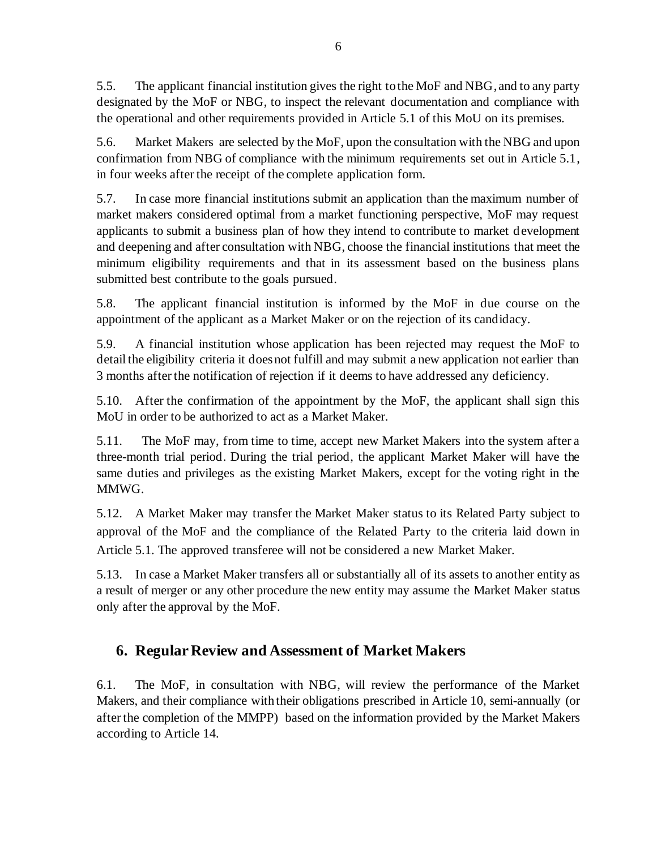5.5. The applicant financial institution gives the right to the MoF and NBG, and to any party designated by the MoF or NBG, to inspect the relevant documentation and compliance with the operational and other requirements provided in Article 5.1 of this MoU on its premises.

5.6. Market Makers are selected by the MoF, upon the consultation with the NBG and upon confirmation from NBG of compliance with the minimum requirements set out in Article 5.1, in four weeks after the receipt of the complete application form.

5.7. In case more financial institutions submit an application than the maximum number of market makers considered optimal from a market functioning perspective, MoF may request applicants to submit a business plan of how they intend to contribute to market development and deepening and after consultation with NBG, choose the financial institutions that meet the minimum eligibility requirements and that in its assessment based on the business plans submitted best contribute to the goals pursued.

5.8. The applicant financial institution is informed by the MoF in due course on the appointment of the applicant as a Market Maker or on the rejection of its candidacy.

5.9. A financial institution whose application has been rejected may request the MoF to detail the eligibility criteria it does not fulfill and may submit a new application not earlier than 3 months after the notification of rejection if it deems to have addressed any deficiency.

5.10. After the confirmation of the appointment by the MoF, the applicant shall sign this MoU in order to be authorized to act as a Market Maker.

5.11. The MoF may, from time to time, accept new Market Makers into the system after a three-month trial period. During the trial period, the applicant Market Maker will have the same duties and privileges as the existing Market Makers, except for the voting right in the MMWG.

5.12. A Market Maker may transfer the Market Maker status to its Related Party subject to approval of the MoF and the compliance of the Related Party to the criteria laid down in Article 5.1. The approved transferee will not be considered a new Market Maker.

5.13. In case a Market Maker transfers all or substantially all of its assets to another entity as a result of merger or any other procedure the new entity may assume the Market Maker status only after the approval by the MoF.

## **6. Regular Review and Assessment of Market Makers**

6.1. The MoF, in consultation with NBG, will review the performance of the Market Makers, and their compliance with their obligations prescribed in Article 10, semi-annually (or after the completion of the MMPP) based on the information provided by the Market Makers according to Article 14.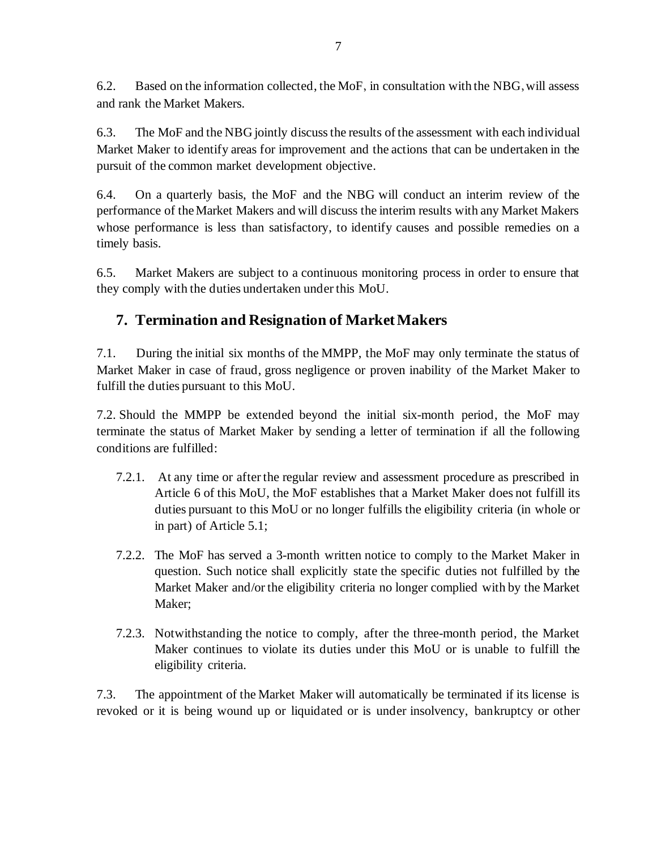6.2. Based on the information collected, the MoF, in consultation with the NBG,will assess and rank the Market Makers.

6.3. The MoF and the NBG jointly discuss the results of the assessment with each individual Market Maker to identify areas for improvement and the actions that can be undertaken in the pursuit of the common market development objective.

6.4. On a quarterly basis, the MoF and the NBG will conduct an interim review of the performance of the Market Makers and will discuss the interim results with any Market Makers whose performance is less than satisfactory, to identify causes and possible remedies on a timely basis.

6.5. Market Makers are subject to a continuous monitoring process in order to ensure that they comply with the duties undertaken under this MoU.

# **7. Termination and Resignation of Market Makers**

7.1. During the initial six months of the MMPP, the MoF may only terminate the status of Market Maker in case of fraud, gross negligence or proven inability of the Market Maker to fulfill the duties pursuant to this MoU.

7.2. Should the MMPP be extended beyond the initial six-month period, the MoF may terminate the status of Market Maker by sending a letter of termination if all the following conditions are fulfilled:

- 7.2.1. At any time or after the regular review and assessment procedure as prescribed in Article 6 of this MoU, the MoF establishes that a Market Maker does not fulfill its duties pursuant to this MoU or no longer fulfills the eligibility criteria (in whole or in part) of Article 5.1;
- 7.2.2. The MoF has served a 3-month written notice to comply to the Market Maker in question. Such notice shall explicitly state the specific duties not fulfilled by the Market Maker and/or the eligibility criteria no longer complied with by the Market Maker;
- 7.2.3. Notwithstanding the notice to comply, after the three-month period, the Market Maker continues to violate its duties under this MoU or is unable to fulfill the eligibility criteria.

7.3. The appointment of the Market Maker will automatically be terminated if its license is revoked or it is being wound up or liquidated or is under insolvency, bankruptcy or other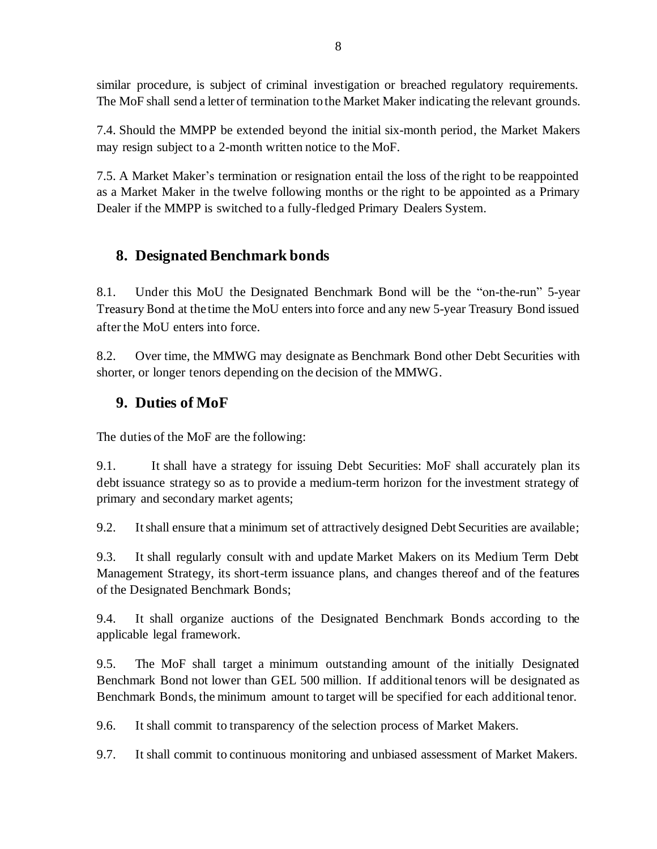similar procedure, is subject of criminal investigation or breached regulatory requirements. The MoF shall send a letter of termination to the Market Maker indicating the relevant grounds.

7.4. Should the MMPP be extended beyond the initial six-month period, the Market Makers may resign subject to a 2-month written notice to the MoF.

7.5. A Market Maker's termination or resignation entail the loss of the right to be reappointed as a Market Maker in the twelve following months or the right to be appointed as a Primary Dealer if the MMPP is switched to a fully-fledged Primary Dealers System.

# **8. Designated Benchmark bonds**

8.1. Under this MoU the Designated Benchmark Bond will be the "on-the-run" 5-year Treasury Bond at the time the MoU enters into force and any new 5-year Treasury Bond issued after the MoU enters into force.

8.2. Over time, the MMWG may designate as Benchmark Bond other Debt Securities with shorter, or longer tenors depending on the decision of the MMWG.

## **9. Duties of MoF**

The duties of the MoF are the following:

9.1. It shall have a strategy for issuing Debt Securities: MoF shall accurately plan its debt issuance strategy so as to provide a medium-term horizon for the investment strategy of primary and secondary market agents;

9.2. It shall ensure that a minimum set of attractively designed Debt Securities are available;

9.3. It shall regularly consult with and update Market Makers on its Medium Term Debt Management Strategy, its short-term issuance plans, and changes thereof and of the features of the Designated Benchmark Bonds;

9.4. It shall organize auctions of the Designated Benchmark Bonds according to the applicable legal framework.

9.5. The MoF shall target a minimum outstanding amount of the initially Designated Benchmark Bond not lower than GEL 500 million. If additional tenors will be designated as Benchmark Bonds, the minimum amount to target will be specified for each additional tenor.

9.6. It shall commit to transparency of the selection process of Market Makers.

9.7. It shall commit to continuous monitoring and unbiased assessment of Market Makers.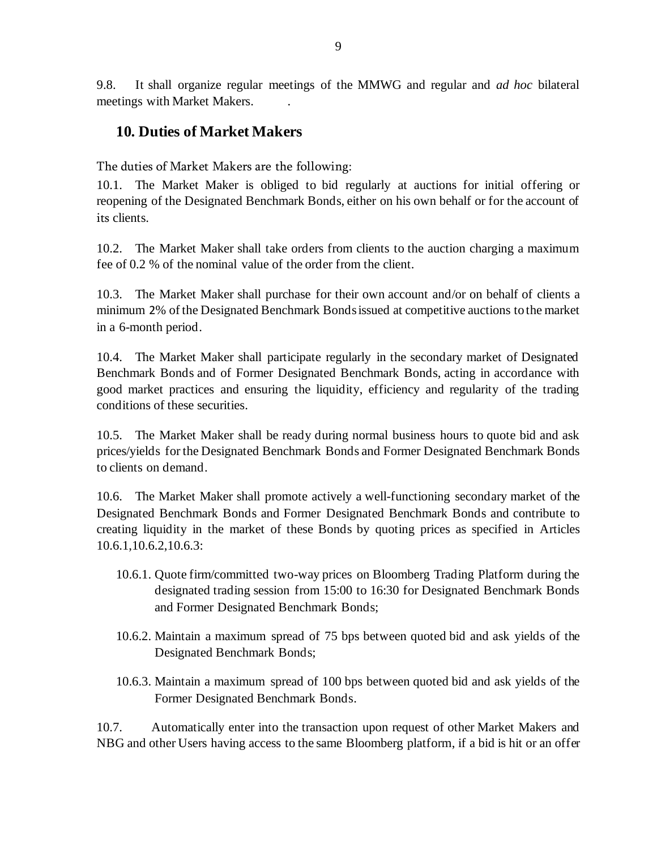9.8. It shall organize regular meetings of the MMWG and regular and *ad hoc* bilateral meetings with Market Makers. .

#### **10. Duties of Market Makers**

The duties of Market Makers are the following:

10.1. The Market Maker is obliged to bid regularly at auctions for initial offering or reopening of the Designated Benchmark Bonds, either on his own behalf or for the account of its clients.

10.2. The Market Maker shall take orders from clients to the auction charging a maximum fee of 0.2 % of the nominal value of the order from the client.

10.3. The Market Maker shall purchase for their own account and/or on behalf of clients a minimum 2% of the Designated Benchmark Bonds issued at competitive auctions to the market in a 6-month period.

10.4. The Market Maker shall participate regularly in the secondary market of Designated Benchmark Bonds and of Former Designated Benchmark Bonds, acting in accordance with good market practices and ensuring the liquidity, efficiency and regularity of the trading conditions of these securities.

10.5. The Market Maker shall be ready during normal business hours to quote bid and ask prices/yields for the Designated Benchmark Bonds and Former Designated Benchmark Bonds to clients on demand.

10.6. The Market Maker shall promote actively a well-functioning secondary market of the Designated Benchmark Bonds and Former Designated Benchmark Bonds and contribute to creating liquidity in the market of these Bonds by quoting prices as specified in Articles 10.6.1,10.6.2,10.6.3:

- 10.6.1. Quote firm/committed two-way prices on Bloomberg Trading Platform during the designated trading session from 15:00 to 16:30 for Designated Benchmark Bonds and Former Designated Benchmark Bonds;
- 10.6.2. Maintain a maximum spread of 75 bps between quoted bid and ask yields of the Designated Benchmark Bonds;
- 10.6.3. Maintain a maximum spread of 100 bps between quoted bid and ask yields of the Former Designated Benchmark Bonds.

10.7. Automatically enter into the transaction upon request of other Market Makers and NBG and other Users having access to the same Bloomberg platform, if a bid is hit or an offer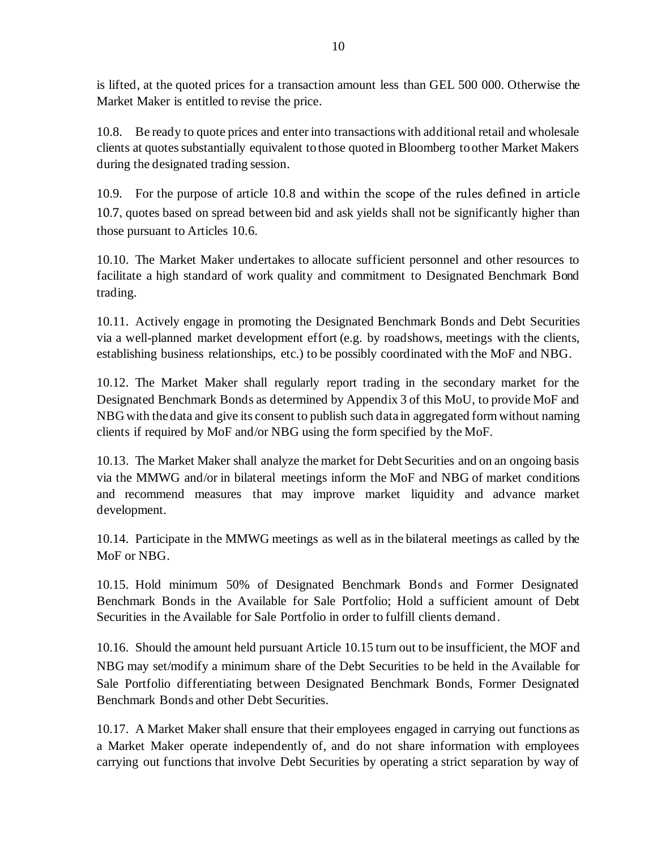is lifted, at the quoted prices for a transaction amount less than GEL 500 000. Otherwise the Market Maker is entitled to revise the price.

10.8. Be ready to quote prices and enter into transactions with additional retail and wholesale clients at quotes substantially equivalent to those quoted in Bloomberg to other Market Makers during the designated trading session.

10.9. For the purpose of article 10.8 and within the scope of the rules defined in article 10.7, quotes based on spread between bid and ask yields shall not be significantly higher than those pursuant to Articles 10.6.

10.10. The Market Maker undertakes to allocate sufficient personnel and other resources to facilitate a high standard of work quality and commitment to Designated Benchmark Bond trading.

10.11. Actively engage in promoting the Designated Benchmark Bonds and Debt Securities via a well-planned market development effort (e.g. by roadshows, meetings with the clients, establishing business relationships, etc.) to be possibly coordinated with the MoF and NBG.

10.12. The Market Maker shall regularly report trading in the secondary market for the Designated Benchmark Bonds as determined by Appendix 3 of this MoU, to provide MoF and NBG with the data and give its consent to publish such data in aggregated form without naming clients if required by MoF and/or NBG using the form specified by the MoF.

10.13. The Market Maker shall analyze the market for Debt Securities and on an ongoing basis via the MMWG and/or in bilateral meetings inform the MoF and NBG of market conditions and recommend measures that may improve market liquidity and advance market development.

10.14. Participate in the MMWG meetings as well as in the bilateral meetings as called by the MoF or NBG.

10.15. Hold minimum 50% of Designated Benchmark Bonds and Former Designated Benchmark Bonds in the Available for Sale Portfolio; Hold a sufficient amount of Debt Securities in the Available for Sale Portfolio in order to fulfill clients demand.

10.16. Should the amount held pursuant Article 10.15 turn out to be insufficient, the MOF and NBG may set/modify a minimum share of the Debt Securities to be held in the Available for Sale Portfolio differentiating between Designated Benchmark Bonds, Former Designated Benchmark Bonds and other Debt Securities.

10.17. A Market Maker shall ensure that their employees engaged in carrying out functions as a Market Maker operate independently of, and do not share information with employees carrying out functions that involve Debt Securities by operating a strict separation by way of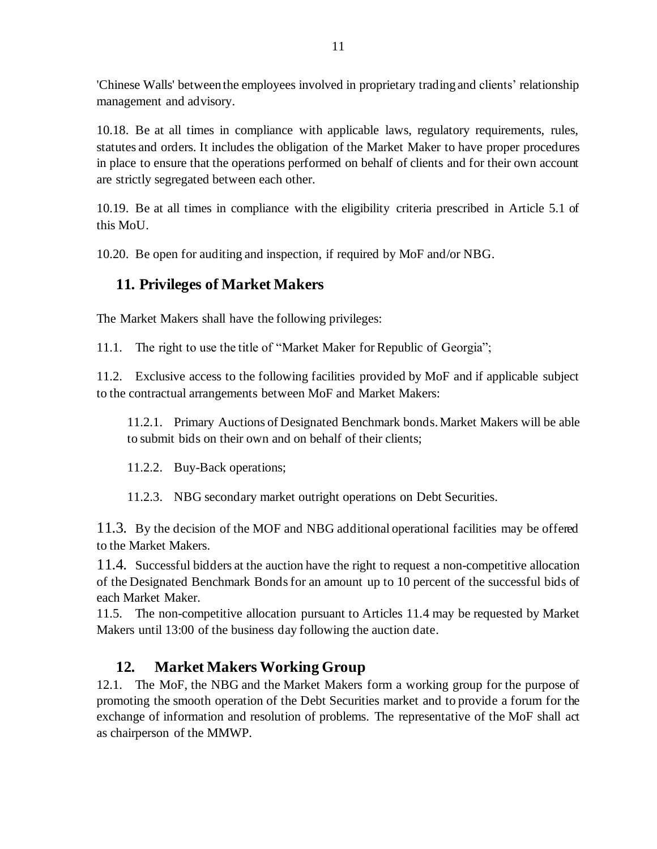'Chinese Walls' between the employees involved in proprietary trading and clients' relationship management and advisory.

10.18. Be at all times in compliance with applicable laws, regulatory requirements, rules, statutes and orders. It includes the obligation of the Market Maker to have proper procedures in place to ensure that the operations performed on behalf of clients and for their own account are strictly segregated between each other.

10.19. Be at all times in compliance with the eligibility criteria prescribed in Article 5.1 of this MoU.

10.20. Be open for auditing and inspection, if required by MoF and/or NBG.

#### **11. Privileges of Market Makers**

The Market Makers shall have the following privileges:

11.1. The right to use the title of "Market Maker for Republic of Georgia";

11.2. Exclusive access to the following facilities provided by MoF and if applicable subject to the contractual arrangements between MoF and Market Makers:

11.2.1. Primary Auctions of Designated Benchmark bonds. Market Makers will be able to submit bids on their own and on behalf of their clients;

11.2.2. Buy-Back operations;

11.2.3. NBG secondary market outright operations on Debt Securities.

11.3. By the decision of the MOF and NBG additional operational facilities may be offered to the Market Makers.

11.4. Successful bidders at the auction have the right to request a non-competitive allocation of the Designated Benchmark Bonds for an amount up to 10 percent of the successful bids of each Market Maker.

11.5. The non-competitive allocation pursuant to Articles 11.4 may be requested by Market Makers until 13:00 of the business day following the auction date.

## **12. Market Makers Working Group**

12.1. The MoF, the NBG and the Market Makers form a working group for the purpose of promoting the smooth operation of the Debt Securities market and to provide a forum for the exchange of information and resolution of problems. The representative of the MoF shall act as chairperson of the MMWP.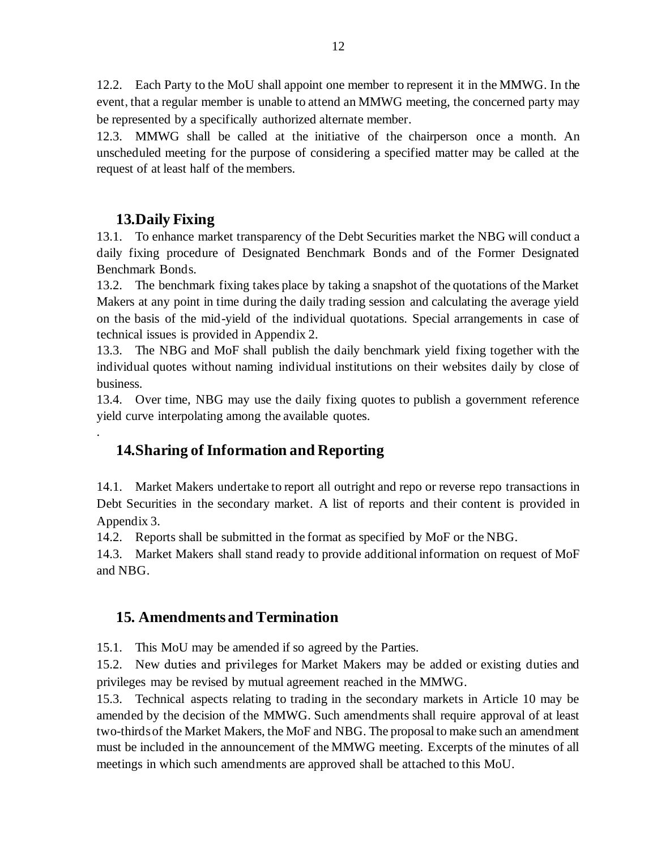12.2. Each Party to the MoU shall appoint one member to represent it in the MMWG. In the event, that a regular member is unable to attend an MMWG meeting, the concerned party may be represented by a specifically authorized alternate member.

12.3. MMWG shall be called at the initiative of the chairperson once a month. An unscheduled meeting for the purpose of considering a specified matter may be called at the request of at least half of the members.

#### **13.Daily Fixing**

.

13.1. To enhance market transparency of the Debt Securities market the NBG will conduct a daily fixing procedure of Designated Benchmark Bonds and of the Former Designated Benchmark Bonds.

13.2. The benchmark fixing takes place by taking a snapshot of the quotations of the Market Makers at any point in time during the daily trading session and calculating the average yield on the basis of the mid-yield of the individual quotations. Special arrangements in case of technical issues is provided in Appendix 2.

13.3. The NBG and MoF shall publish the daily benchmark yield fixing together with the individual quotes without naming individual institutions on their websites daily by close of business.

13.4. Over time, NBG may use the daily fixing quotes to publish a government reference yield curve interpolating among the available quotes.

## **14.Sharing of Information and Reporting**

14.1. Market Makers undertake to report all outright and repo or reverse repo transactions in Debt Securities in the secondary market. A list of reports and their content is provided in Appendix 3.

14.2. Reports shall be submitted in the format as specified by MoF or the NBG.

14.3. Market Makers shall stand ready to provide additional information on request of MoF and NBG.

## **15. Amendments and Termination**

15.1. This MoU may be amended if so agreed by the Parties.

15.2. New duties and privileges for Market Makers may be added or existing duties and privileges may be revised by mutual agreement reached in the MMWG.

15.3. Technical aspects relating to trading in the secondary markets in Article 10 may be amended by the decision of the MMWG. Such amendments shall require approval of at least two-thirds of the Market Makers, the MoF and NBG. The proposal to make such an amendment must be included in the announcement of the MMWG meeting. Excerpts of the minutes of all meetings in which such amendments are approved shall be attached to this MoU.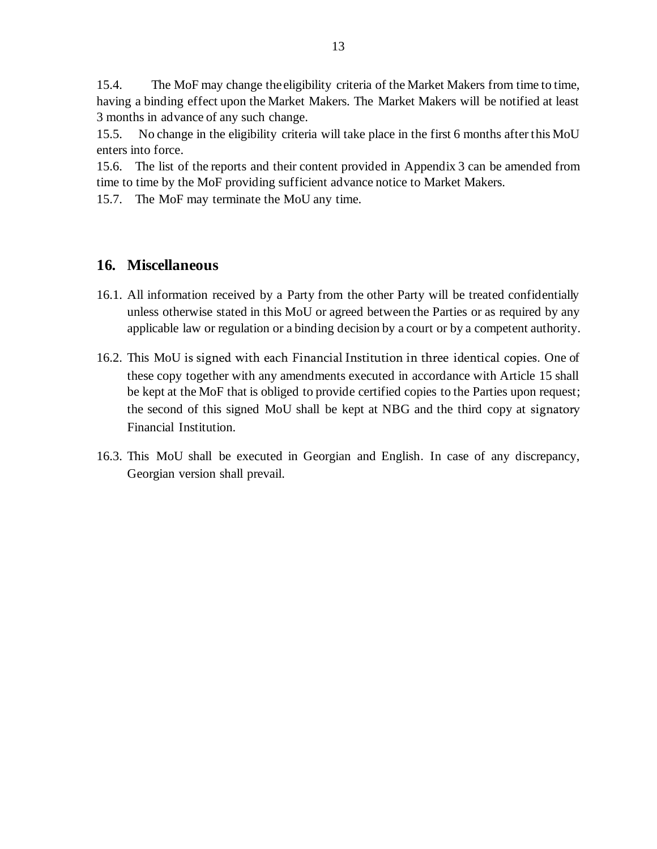15.4. The MoF may change the eligibility criteria of the Market Makers from time to time, having a binding effect upon the Market Makers. The Market Makers will be notified at least 3 months in advance of any such change.

15.5. No change in the eligibility criteria will take place in the first 6 months after this MoU enters into force.

15.6. The list of the reports and their content provided in Appendix 3 can be amended from time to time by the MoF providing sufficient advance notice to Market Makers.

15.7. The MoF may terminate the MoU any time.

#### **16. Miscellaneous**

- 16.1. All information received by a Party from the other Party will be treated confidentially unless otherwise stated in this MoU or agreed between the Parties or as required by any applicable law or regulation or a binding decision by a court or by a competent authority.
- 16.2. This MoU is signed with each Financial Institution in three identical copies. One of these copy together with any amendments executed in accordance with Article 15 shall be kept at the MoF that is obliged to provide certified copies to the Parties upon request; the second of this signed MoU shall be kept at NBG and the third copy at signatory Financial Institution.
- 16.3. This MoU shall be executed in Georgian and English. In case of any discrepancy, Georgian version shall prevail.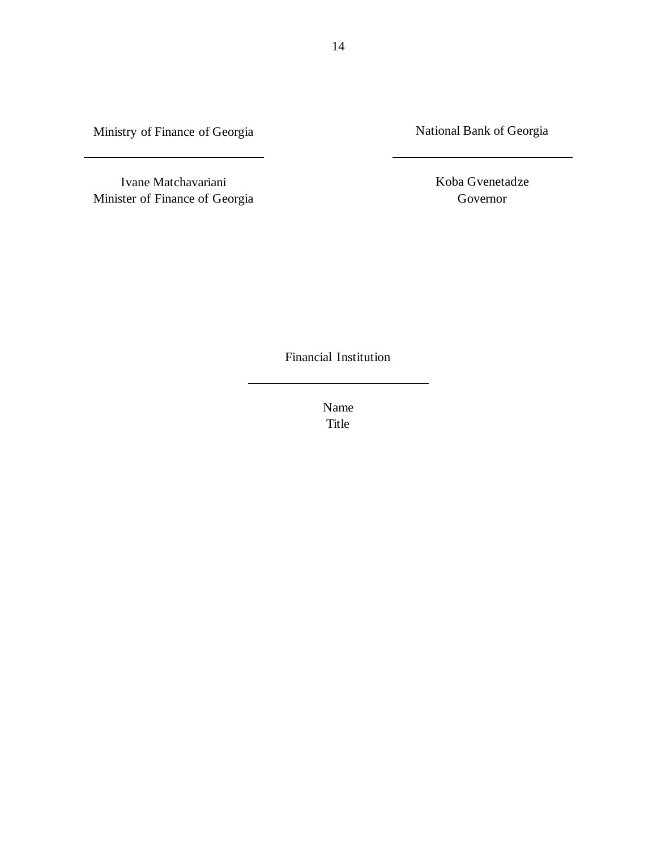Ministry of Finance of Georgia

National Bank of Georgia

Ivane Matchavariani Minister of Finance of Georgia Koba Gvenetadze Governor

Financial Institution

Name Title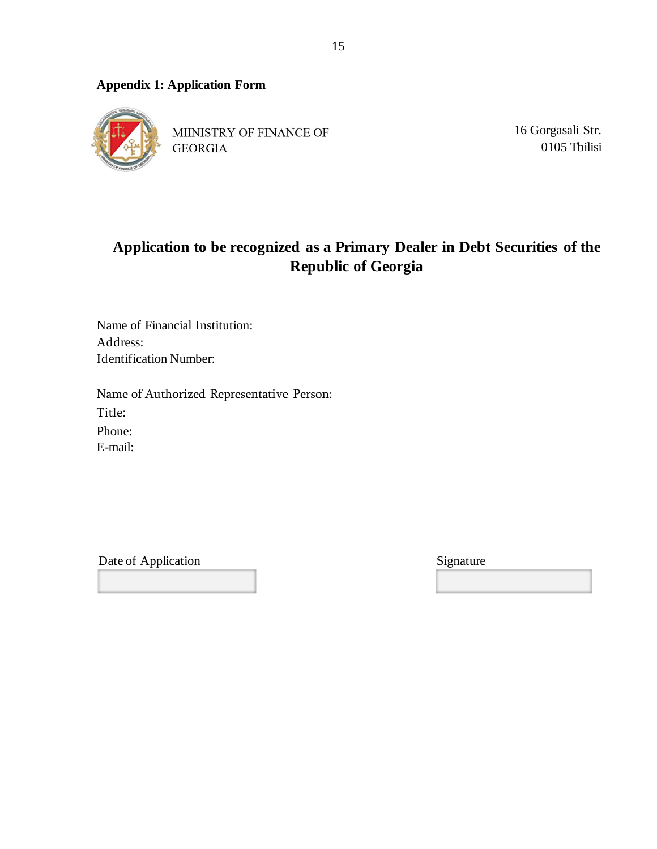#### **Appendix 1: Application Form**



MIINISTRY OF FINANCE OF **GEORGIA** 

16 Gorgasali Str. 0105 Tbilisi

# **Application to be recognized as a Primary Dealer in Debt Securities of the Republic of Georgia**

Name of Financial Institution: Address: Identification Number:

Name of Authorized Representative Person: Title: Phone: E-mail:

Date of Application Signature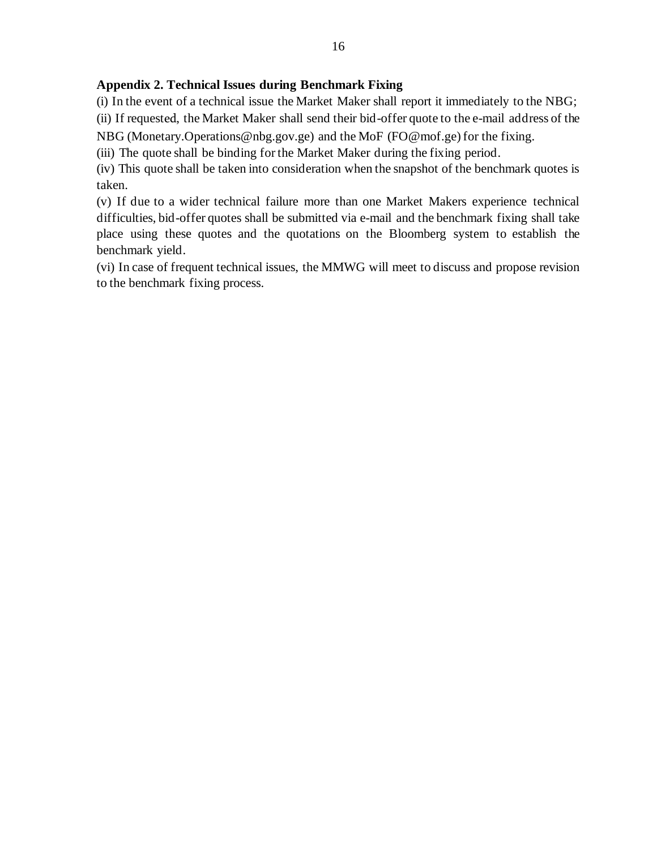#### **Appendix 2. Technical Issues during Benchmark Fixing**

(i) In the event of a technical issue the Market Maker shall report it immediately to the NBG;

(ii) If requested, the Market Maker shall send their bid-offer quote to the e-mail address of the NBG (Monetary.Operations@nbg.gov.ge) and the MoF [\(FO@mof.ge\)](mailto:FO@mof.ge) for the fixing.

(iii) The quote shall be binding for the Market Maker during the fixing period.

(iv) This quote shall be taken into consideration when the snapshot of the benchmark quotes is

taken.

(v) If due to a wider technical failure more than one Market Makers experience technical difficulties, bid-offer quotes shall be submitted via e-mail and the benchmark fixing shall take place using these quotes and the quotations on the Bloomberg system to establish the benchmark yield.

(vi) In case of frequent technical issues, the MMWG will meet to discuss and propose revision to the benchmark fixing process.